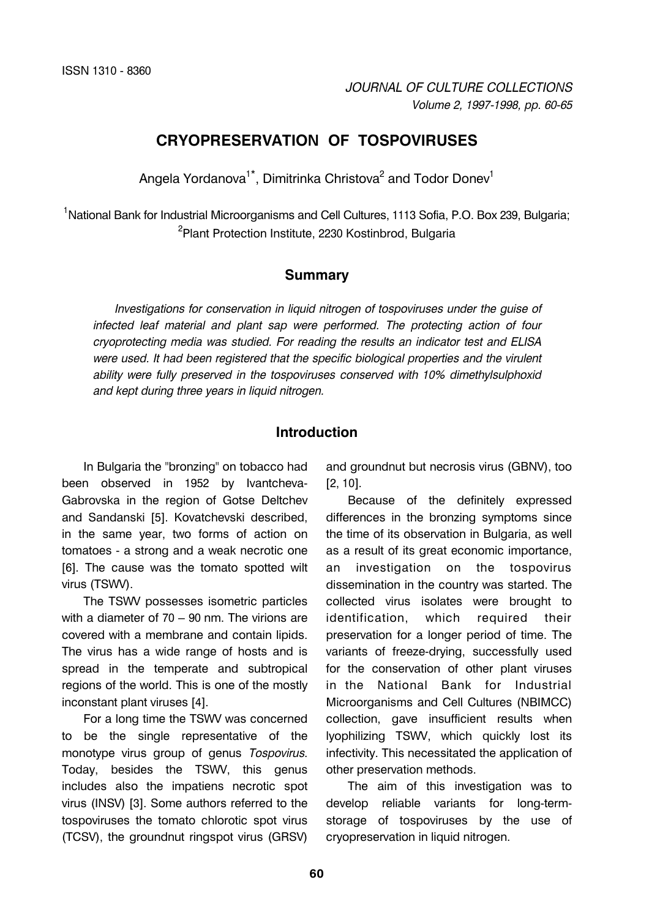# **CRYOPRESERVATION OF TOSPOVIRUSES**

Angela Yordanova $^{\text{\tiny 1}\text{\tiny *}}$ , Dimitrinka Christova $^{\text{\tiny 2}}$  and Todor Donev $^{\text{\tiny 1}\text{\tiny }}$ 

<sup>1</sup>National Bank for Industrial Microorganisms and Cell Cultures, 1113 Sofia, P.O. Box 239, Bulgaria; <sup>2</sup>Plant Protection Institute, 2230 Kostinbrod, Bulgaria

### **Summary**

*Investigations for conservation in liquid nitrogen of tospoviruses under the guise of infected leaf material and plant sap were performed. The protecting action of four cryoprotecting media was studied. For reading the results an indicator test and ELISA were used. It had been registered that the specific biological properties and the virulent ability were fully preserved in the tospoviruses conserved with 10% dimethylsulphoxid and kept during three years in liquid nitrogen.* 

## **Introduction**

In Bulgaria the "bronzing" on tobacco had been observed in 1952 by Ivantcheva-Gabrovska in the region of Gotse Deltchev and Sandanski [5]. Kovatchevski described, in the same year, two forms of action on tomatoes - a strong and a weak necrotic one [6]. The cause was the tomato spotted wilt virus (TSWV).

The TSWV possesses isometric particles with a diameter of 70 – 90 nm. The virions are covered with a membrane and contain lipids. The virus has a wide range of hosts and is spread in the temperate and subtropical regions of the world. This is one of the mostly inconstant plant viruses [4].

For a long time the TSWV was concerned to be the single representative of the monotype virus group of genus *Tospovirus*. Today, besides the TSWV, this genus includes also the impatiens necrotic spot virus (INSV) [3]. Some authors referred to the tospoviruses the tomato chlorotic spot virus (TCSV), the groundnut ringspot virus (GRSV) and groundnut but necrosis virus (GBNV), too [2, 10].

Because of the definitely expressed differences in the bronzing symptoms since the time of its observation in Bulgaria, as well as a result of its great economic importance, an investigation on the tospovirus dissemination in the country was started. The collected virus isolates were brought to identification, which required their preservation for a longer period of time. The variants of freeze-drying, successfully used for the conservation of other plant viruses in the National Bank for Industrial Microorganisms and Cell Cultures (NBIMCC) collection, gave insufficient results when lyophilizing TSWV, which quickly lost its infectivity. This necessitated the application of other preservation methods.

The aim of this investigation was to develop reliable variants for long-termstorage of tospoviruses by the use of cryopreservation in liquid nitrogen.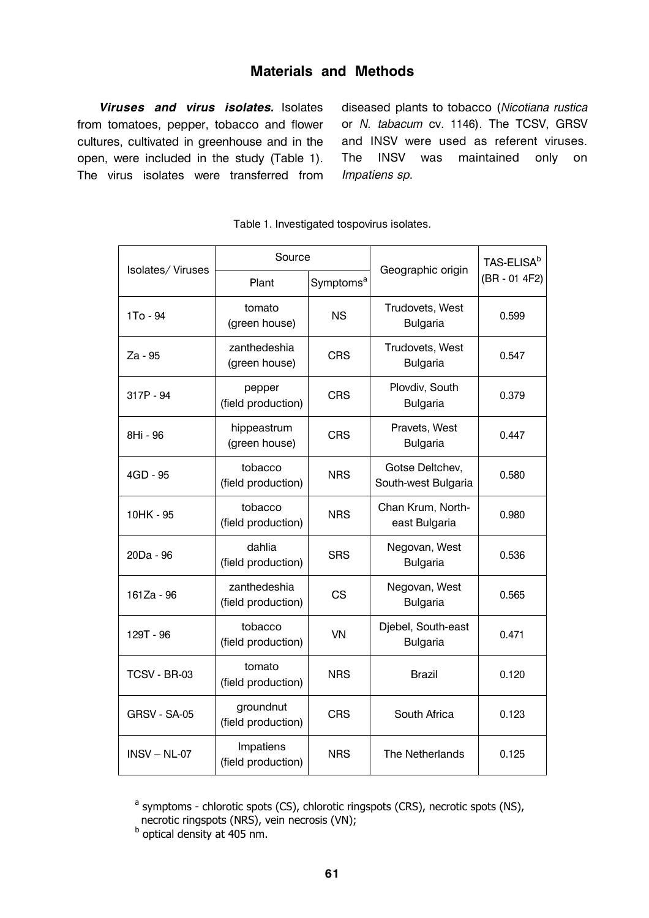# **Materials and Methods**

*Viruses and virus isolates.* Isolates from tomatoes, pepper, tobacco and flower cultures, cultivated in greenhouse and in the open, were included in the study (Table 1). The virus isolates were transferred from diseased plants to tobacco (*Nicotiana rustica* or *N. tabacum* cv. 1146). The TCSV, GRSV and INSV were used as referent viruses. The INSV was maintained only on *Impatiens sp*.

|                  | Source                             |                       |                                        | TAS-ELISA <sup>b</sup> |
|------------------|------------------------------------|-----------------------|----------------------------------------|------------------------|
| Isolates/Viruses | Plant                              | Symptoms <sup>a</sup> | Geographic origin                      | (BR - 01 4F2)          |
| 1To - 94         | tomato<br>(green house)            | <b>NS</b>             | Trudovets, West<br><b>Bulgaria</b>     | 0.599                  |
| Za - 95          | zanthedeshia<br>(green house)      | <b>CRS</b>            | Trudovets, West<br><b>Bulgaria</b>     | 0.547                  |
| 317P - 94        | pepper<br>(field production)       | <b>CRS</b>            | Plovdiv, South<br><b>Bulgaria</b>      | 0.379                  |
| 8Hi - 96         | hippeastrum<br>(green house)       | <b>CRS</b>            | Pravets, West<br><b>Bulgaria</b>       | 0.447                  |
| 4GD - 95         | tobacco<br>(field production)      | <b>NRS</b>            | Gotse Deltchev,<br>South-west Bulgaria | 0.580                  |
| 10HK - 95        | tobacco<br>(field production)      | <b>NRS</b>            | Chan Krum, North-<br>east Bulgaria     | 0.980                  |
| 20Da - 96        | dahlia<br>(field production)       | <b>SRS</b>            | Negovan, West<br><b>Bulgaria</b>       | 0.536                  |
| 161Za - 96       | zanthedeshia<br>(field production) | CS                    | Negovan, West<br><b>Bulgaria</b>       | 0.565                  |
| 129T - 96        | tobacco<br>(field production)      | VN                    | Djebel, South-east<br><b>Bulgaria</b>  | 0.471                  |
| TCSV - BR-03     | tomato<br>(field production)       | <b>NRS</b>            | <b>Brazil</b>                          | 0.120                  |
| GRSV - SA-05     | groundnut<br>(field production)    | <b>CRS</b>            | South Africa                           | 0.123                  |
| $INSV - NL-07$   | Impatiens<br>(field production)    | <b>NRS</b>            | The Netherlands                        | 0.125                  |

Table 1. Investigated tospovirus isolates.

 $a$  symptoms - chlorotic spots (CS), chlorotic ringspots (CRS), necrotic spots (NS), necrotic ringspots (NRS), vein necrosis (VN);

b optical density at 405 nm.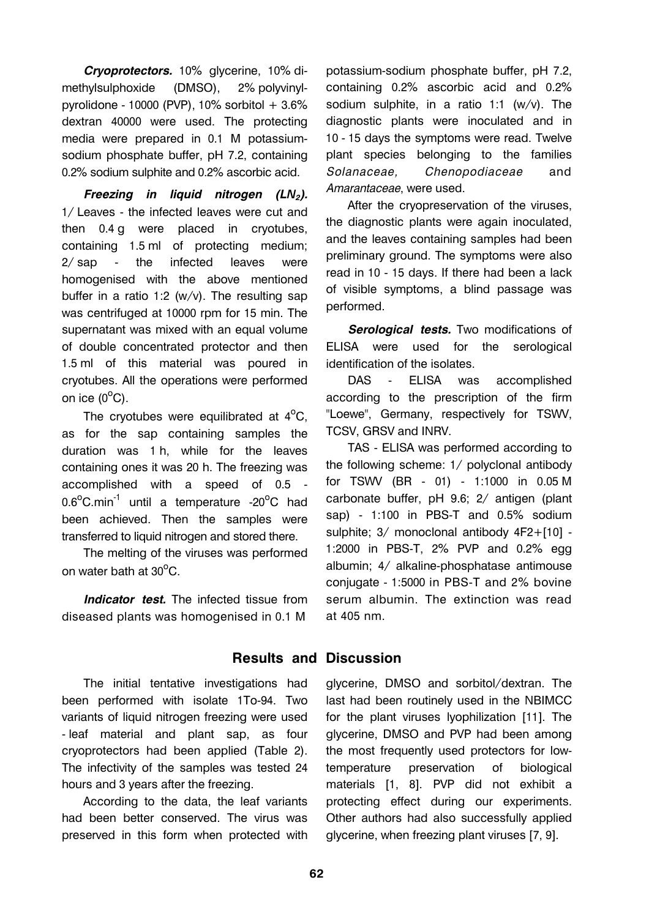*Cryoprotectors.* 10% glycerine, 10% dimethylsulphoxide (DMSO), 2% polyvinylpyrolidone - 10000 (PVP), 10% sorbitol + 3.6% dextran 40000 were used. The protecting media were prepared in 0.1 M potassiumsodium phosphate buffer, pH 7.2, containing 0.2% sodium sulphite and 0.2% ascorbic acid.

*Freezing in liquid nitrogen (LN2).* 1/ Leaves - the infected leaves were cut and then 0.4 g were placed in cryotubes, containing 1.5 ml of protecting medium; 2/ sap - the infected leaves were homogenised with the above mentioned buffer in a ratio 1:2 (w/v). The resulting sap was centrifuged at 10000 rpm for 15 min. The supernatant was mixed with an equal volume of double concentrated protector and then 1.5 ml of this material was poured in cryotubes. All the operations were performed on ice  $(0^{\circ}C)$ .

The cryotubes were equilibrated at  $4^{\circ}$ C, as for the sap containing samples the duration was 1 h, while for the leaves containing ones it was 20 h. The freezing was accomplished with a speed of 0.5 -  $0.6^{\circ}$ C.min<sup>-1</sup> until a temperature -20 $^{\circ}$ C had been achieved. Then the samples were transferred to liquid nitrogen and stored there.

The melting of the viruses was performed on water bath at 30 $^{\circ}$ C.

*Indicator test.* The infected tissue from diseased plants was homogenised in 0.1 M

potassium-sodium phosphate buffer, pH 7.2, containing 0.2% ascorbic acid and 0.2% sodium sulphite, in a ratio 1:1 (w/v). The diagnostic plants were inoculated and in 10 - 15 days the symptoms were read. Twelve plant species belonging to the families *Solanaceae, Chenopodiaceae* and *Amarantaceae*, were used.

After the cryopreservation of the viruses, the diagnostic plants were again inoculated, and the leaves containing samples had been preliminary ground. The symptoms were also read in 10 - 15 days. If there had been a lack of visible symptoms, a blind passage was performed.

*Serological tests.* Two modifications of ELISA were used for the serological identification of the isolates.

DAS - ELISA was accomplished according to the prescription of the firm "Loewe", Germany, respectively for TSWV, TCSV, GRSV and INRV.

TAS - ELISA was performed according to the following scheme: 1/ polyclonal antibody for TSWV (BR - 01) - 1:1000 in 0.05 M carbonate buffer, pH 9.6; 2/ antigen (plant sap) - 1:100 in PBS-T and 0.5% sodium sulphite; 3/ monoclonal antibody 4F2+[10] - 1:2000 in PBS-T, 2% PVP and 0.2% egg albumin; 4/ alkaline-phosphatase antimouse conjugate - 1:5000 in PBS-T and 2% bovine serum albumin. The extinction was read at 405 nm.

## **Results and Discussion**

The initial tentative investigations had been performed with isolate 1To-94. Two variants of liquid nitrogen freezing were used - leaf material and plant sap, as four cryoprotectors had been applied (Table 2). The infectivity of the samples was tested 24 hours and 3 years after the freezing.

According to the data, the leaf variants had been better conserved. The virus was preserved in this form when protected with

glycerine, DMSO and sorbitol/dextran. The last had been routinely used in the NBIMCC for the plant viruses lyophilization [11]. The glycerine, DMSO and PVP had been among the most frequently used protectors for lowtemperature preservation of biological materials [1, 8]. PVP did not exhibit a protecting effect during our experiments. Other authors had also successfully applied glycerine, when freezing plant viruses [7, 9].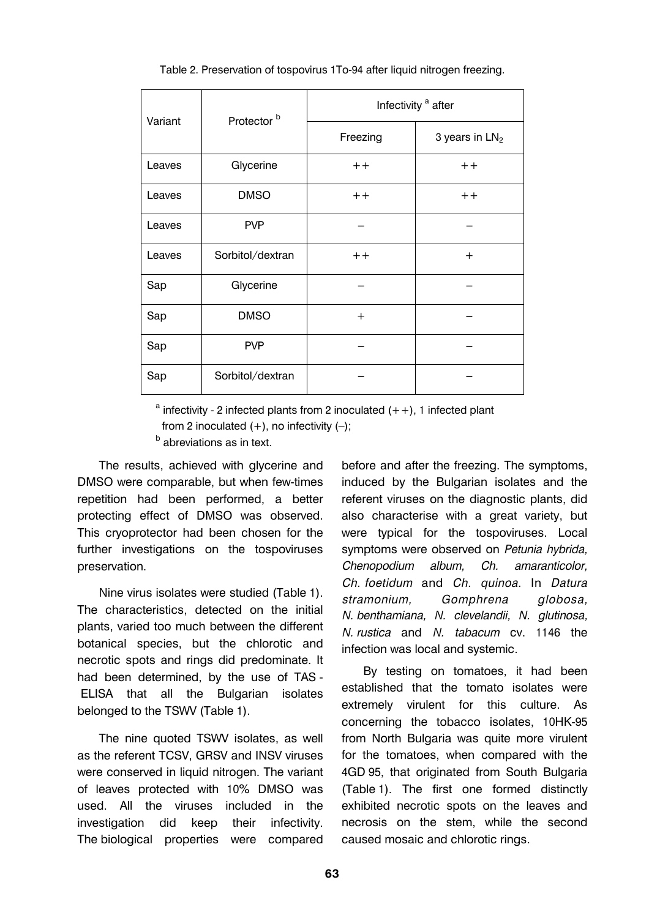| Variant | Protector <sup>b</sup> | Infectivity <sup>a</sup> after |                  |  |
|---------|------------------------|--------------------------------|------------------|--|
|         |                        | Freezing                       | 3 years in $LN2$ |  |
| Leaves  | Glycerine              | $++$                           | $++$             |  |
| Leaves  | <b>DMSO</b>            | $++$                           | $++$             |  |
| Leaves  | <b>PVP</b>             |                                |                  |  |
| Leaves  | Sorbitol/dextran       | $++$                           | $^{+}$           |  |
| Sap     | Glycerine              |                                |                  |  |
| Sap     | <b>DMSO</b>            | $+$                            |                  |  |
| Sap     | <b>PVP</b>             |                                |                  |  |
| Sap     | Sorbitol/dextran       |                                |                  |  |

Table 2. Preservation of tospovirus 1To-94 after liquid nitrogen freezing.

 $a$  infectivity - 2 infected plants from 2 inoculated  $(++)$ , 1 infected plant from 2 inoculated  $(+)$ , no infectivity  $(-)$ ;

**b** abreviations as in text.

The results, achieved with glycerine and DMSO were comparable, but when few-times repetition had been performed, a better protecting effect of DMSO was observed. This cryoprotector had been chosen for the further investigations on the tospoviruses preservation.

Nine virus isolates were studied (Table 1). The characteristics, detected on the initial plants, varied too much between the different botanical species, but the chlorotic and necrotic spots and rings did predominate. It had been determined, by the use of TAS - ELISA that all the Bulgarian isolates belonged to the TSWV (Table 1).

The nine quoted TSWV isolates, as well as the referent TCSV, GRSV and INSV viruses were conserved in liquid nitrogen. The variant of leaves protected with 10% DMSO was used. All the viruses included in the investigation did keep their infectivity. The biological properties were compared before and after the freezing. The symptoms, induced by the Bulgarian isolates and the referent viruses on the diagnostic plants, did also characterise with a great variety, but were typical for the tospoviruses. Local symptoms were observed on *Petunia hybrida, Chenopodium album, Ch. amaranticolor, Ch. foetidum* and *Ch. quinoa*. In *Datura stramonium, Gomphrena globosa, N. benthamiana, N. clevelandii, N. glutinosa, N. rustica* and *N. tabacum* cv. 1146 the infection was local and systemic.

By testing on tomatoes, it had been established that the tomato isolates were extremely virulent for this culture. As concerning the tobacco isolates, 10HK-95 from North Bulgaria was quite more virulent for the tomatoes, when compared with the 4GD 95, that originated from South Bulgaria (Table 1). The first one formed distinctly exhibited necrotic spots on the leaves and necrosis on the stem, while the second caused mosaic and chlorotic rings.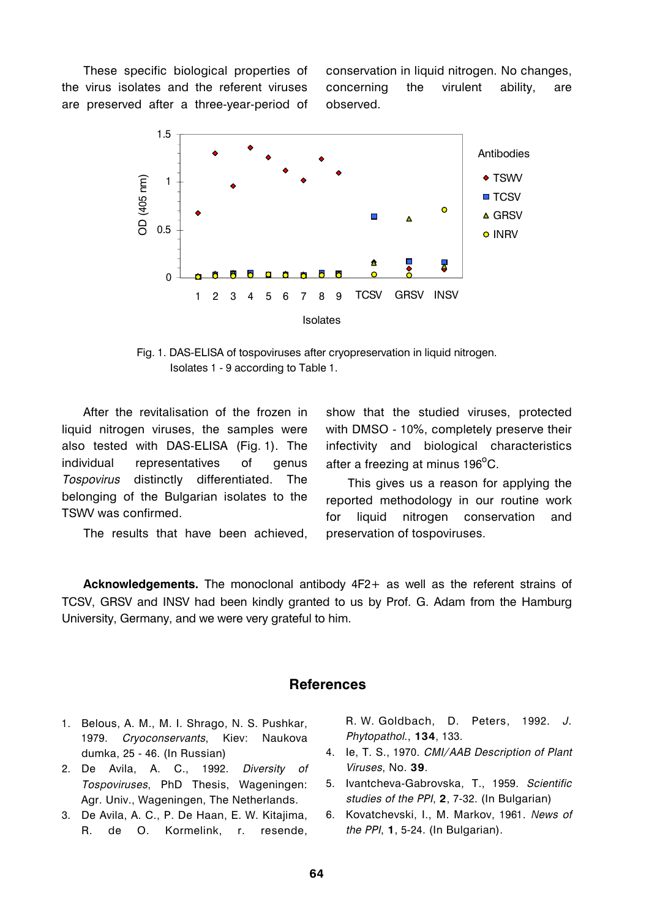These specific biological properties of the virus isolates and the referent viruses are preserved after a three-year-period of conservation in liquid nitrogen. No changes, concerning the virulent ability, are observed.



Fig. 1. DAS-ELISA of tospoviruses after cryopreservation in liquid nitrogen. Isolates 1 - 9 according to Table 1.

After the revitalisation of the frozen in liquid nitrogen viruses, the samples were also tested with DAS-ELISA (Fig. 1). The individual representatives of genus *Tospovirus* distinctly differentiated. The belonging of the Bulgarian isolates to the TSWV was confirmed.

The results that have been achieved,

show that the studied viruses, protected with DMSO - 10%, completely preserve their infectivity and biological characteristics after a freezing at minus 196 $^{\rm o}$ C.

This gives us a reason for applying the reported methodology in our routine work for liquid nitrogen conservation and preservation of tospoviruses.

**Acknowledgements.** The monoclonal antibody 4F2+ as well as the referent strains of TCSV, GRSV and INSV had been kindly granted to us by Prof. G. Adam from the Hamburg University, Germany, and we were very grateful to him.

#### **References**

- 1. Belous, A. M., M. I. Shrago, N. S. Pushkar, 1979. *Cryoconservants*, Kiev: Naukova dumka, 25 - 46. (In Russian)
- 2. De Avila, A. C., 1992. *Diversity of Tospoviruses*, PhD Thesis, Wageningen: Agr. Univ., Wageningen, The Netherlands.
- 3. De Avila, A. C., P. De Haan, E. W. Kitajima, R. de O. Kormelink, r. resende,

R. W. Goldbach, D. Peters, 1992. *J. Phytopathol*., **134**, 133.

- 4. Ie, T. S., 1970. *CMI/AAB Description of Plant Viruses*, No. **39**.
- 5. Ivantcheva-Gabrovska, T., 1959. *Scientific studies of the PPI*, **2**, 7-32. (In Bulgarian)
- 6. Kovatchevski, I., M. Markov, 1961. *News of the PPI*, **1**, 5-24. (In Bulgarian).